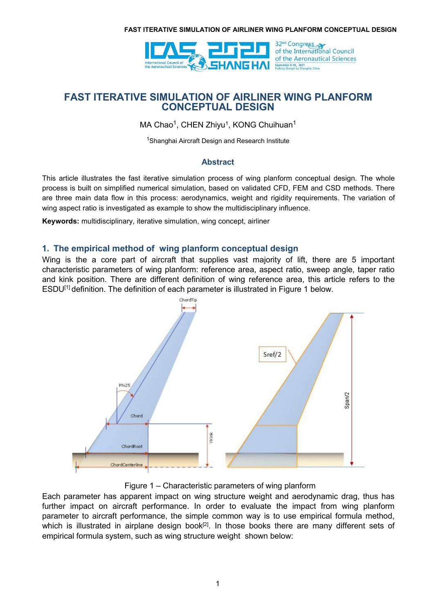

MA Chao<sup>1</sup>, CHEN Zhiyu<sup>1</sup>, KONG Chuihuan<sup>1</sup>  $1 \quad \text{or} \quad \text{or} \quad \text{or} \quad \text{or} \quad \text{or} \quad \text{or} \quad \text{or} \quad \text{or} \quad \text{or} \quad \text{or} \quad \text{or} \quad \text{or} \quad \text{or} \quad \text{or} \quad \text{or} \quad \text{or} \quad \text{or} \quad \text{or} \quad \text{or} \quad \text{or} \quad \text{or} \quad \text{or} \quad \text{or} \quad \text{or} \quad \text{or} \quad \text{or} \quad \text{or} \quad \text{or} \quad \text{or} \quad \text{or} \quad \text{or} \quad$ 

<sup>1</sup>Shanghai Aircraft Design and Research Institute

### **Abstract**

This article illustrates the fast iterative simulation process of wing planform conceptual design. The whole process is built on simplified numerical simulation, based on validated CFD, FEM and CSD methods. There are three main data flow in this process: aerodynamics, weight and rigidity requirements. The variation of wing aspect ratio is investigated as example to show the multidisciplinary influence.

**Keywords:** multidisciplinary, iterative simulation, wing concept, airliner

# **1. The empirical method of wing planform conceptual design**

Wing is the a core part of aircraft that supplies vast majority of lift, there are 5 important characteristic parameters of wing planform: reference area, aspect ratio, sweep angle, taper ratio and kink position. There are different definition of wing reference area, this article refers to the ESDU<sup>[1]</sup> definition. The definition of each parameter is illustrated in Figure 1 below.



Figure 1 – Characteristic parameters of wing planform

Each parameter has apparent impact on wing structure weight and aerodynamic drag, thus has further impact on aircraft performance. In order to evaluate the impact from wing planform parameter to aircraft performance, the simple common way is to use empirical formula method, which is illustrated in airplane design book<sup>[2]</sup>. In those books there are many different sets of empirical formula system, such as wing structure weight shown below: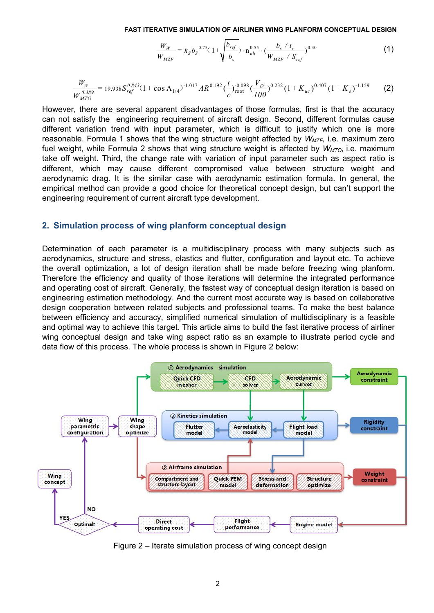$$
\frac{W_W}{W_{MZF}} = k_S b_S^{0.75} (1 + \sqrt{\frac{b_{ref}}{b_s}}) \cdot n_{ult}^{0.55} \cdot (\frac{b_s / t_r}{W_{MZF} / S_{ref}})^{0.30}
$$
(1)

$$
\frac{W_W}{W_{MTO}^{0.389}} = 19.938 S_{ref}^{0.843} (1 + \cos \Lambda_{1/4})^{-1.017} AR^{0.192} (\frac{t}{c})_{\text{root}}^{-0.098} (\frac{V_D}{100})^{0.232} (1 + K_{uc})^{0.407} (1 + K_e)^{-1.159} \tag{2}
$$

However, there are several apparent disadvantages of those formulas, first is that the accuracy can not satisfy the engineering requirement of aircraft design. Second, different formulas cause different variation trend with input parameter, which is difficult to justify which one is more reasonable. Formula 1 shows that the wing structure weight affected by  $W_{MZF}$ , i.e. maximum zero fuel weight, while Formula 2 shows that wing structure weight is affected by *WMTO,* i.e. maximum take off weight. Third, the change rate with variation of input parameter such as aspect ratio is different, which may cause different compromised value between structure weight and aerodynamic drag. It is the similar case with aerodynamic estimation formula. In general, the empirical method can provide a good choice for theoretical concept design, but can't support the engineering requirement of current aircraft type development.

### **2. Simulation process of wing planform conceptual design**

Determination of each parameter is a multidisciplinary process with many subjects such as aerodynamics, structure and stress, elastics and flutter, configuration and layout etc. To achieve the overall optimization, a lot of design iteration shall be made before freezing wing planform. Therefore the efficiency and quality of those iterations will determine the integrated performance and operating cost of aircraft. Generally, the fastest way of conceptual design iteration is based on engineering estimation methodology. And the current most accurate way is based on collaborative design cooperation between related subjects and professional teams. To make the best balance between efficiency and accuracy, simplified numerical simulation of multidisciplinary is a feasible and optimal way to achieve this target. This article aims to build the fast iterative process of airliner wing conceptual design and take wing aspect ratio as an example to illustrate period cycle and data flow of this process. The whole process is shown in Figure 2 below:



Figure 2 – Iterate simulation process of wing concept design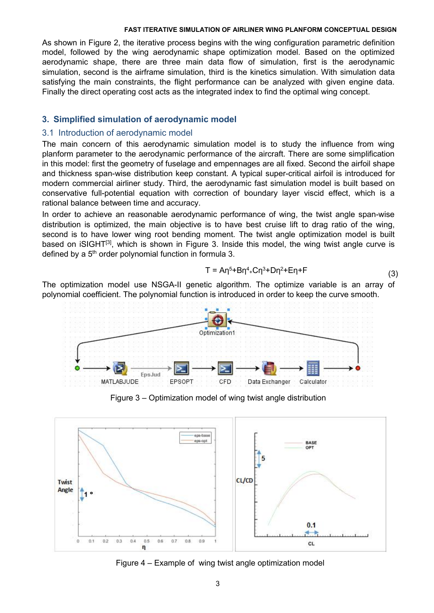As shown in Figure 2, the iterative process begins with the wing configuration parametric definition model, followed by the wing aerodynamic shape optimization model. Based on the optimized aerodynamic shape, there are three main data flow of simulation, first is the aerodynamic simulation, second is the airframe simulation, third is the kinetics simulation. With simulation data satisfying the main constraints, the flight performance can be analyzed with given engine data. Finally the direct operating cost acts as the integrated index to find the optimal wing concept.

## **3. Simplified simulation of aerodynamic model**

### 3.1 Introduction of aerodynamic model

The main concern of this aerodynamic simulation model is to study the influence from wing planform parameter to the aerodynamic performance of the aircraft. There are some simplification in this model: first the geometry of fuselage and empennages are all fixed. Second the airfoil shape and thickness span-wise distribution keep constant. A typical super-critical airfoil is introduced for modern commercial airliner study. Third, the aerodynamic fast simulation model is built based on conservative full-potential equation with correction of boundary layer viscid effect, which is a rational balance between time and accuracy.

In order to achieve an reasonable aerodynamic performance of wing, the twist angle span-wise distribution is optimized, the main objective is to have best cruise lift to drag ratio of the wing, second is to have lower wing root bending moment. The twist angle optimization model is built based on iSIGHT<sup>[3]</sup>, which is shown in Figure 3. Inside this model, the wing twist angle curve is defined by a 5<sup>th</sup> order polynomial function in formula 3.

$$
T = A\eta^{5} + B\eta^{4} + C\eta^{3} + D\eta^{2} + E\eta + F
$$
\n(3)

The optimization model use NSGA-II genetic algorithm. The optimize variable is an array of polynomial coefficient. The polynomial function is introduced in order to keep the curve smooth.



Figure 3 – Optimization model of wing twist angle distribution



Figure  $4 -$  Example of wing twist angle optimization model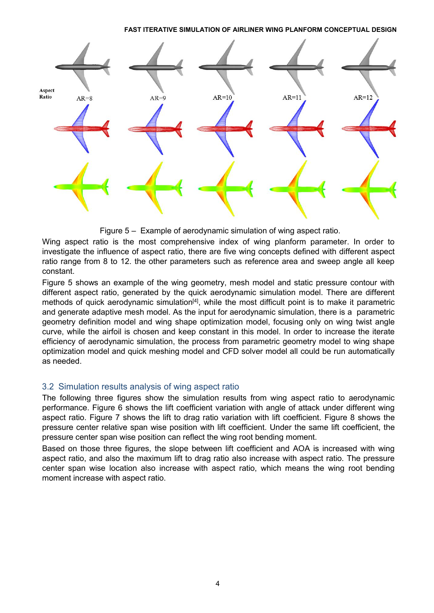



Wing aspect ratio is the most comprehensive index of wing planform parameter. In order to investigate the influence of aspect ratio, there are five wing concepts defined with different aspect ratio range from 8 to 12. the other parameters such as reference area and sweep angle all keep constant.

Figure 5 shows an example of the wing geometry, mesh model and static pressure contour with different aspect ratio, generated by the quick aerodynamic simulation model. There are different methods of quick aerodynamic simulation<sup>[4]</sup>, while the most difficult point is to make it parametric and generate adaptive mesh model. As the input for aerodynamic simulation, there is a parametric geometry definition model and wing shape optimization model, focusing only on wing twist angle curve, while the airfoil is chosen and keep constant in this model.In order to increase the iterate efficiency of aerodynamic simulation, the process from parametric geometry model to wing shape optimization model and quick meshing model and CFD solver model all could be run automatically as needed.

## 3.2 Simulation results analysis of wing aspect ratio

The following three figures show the simulation results from wing aspect ratio to aerodynamic performance. Figure 6 shows the lift coefficient variation with angle of attack under different wing aspect ratio. Figure 7 shows the lift to drag ratio variation with lift coefficient. Figure 8 shows the pressure center relative span wise position with lift coefficient. Under the same lift coefficient, the pressure center span wise position can reflect the wing root bending moment.

Based on those three figures, the slope between lift coefficient and AOA is increased with wing aspect ratio, and also the maximum lift to drag ratio also increase with aspect ratio. The pressure center span wise location also increase with aspect ratio, which means the wing root bending moment increase with aspect ratio.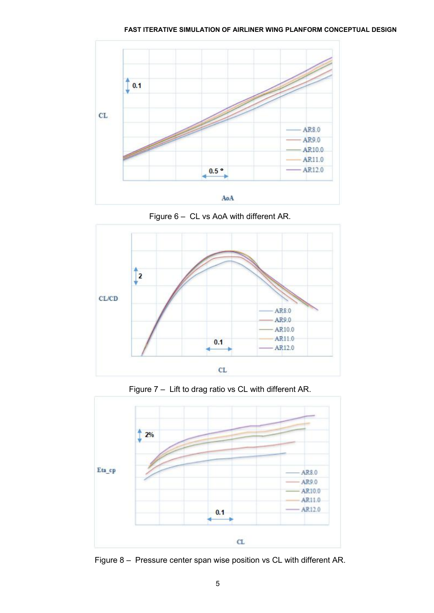

Figure  $6 - CL$  vs AoA with different AR.







Figure 8 – Pressure center span wise position vs CL with different AR.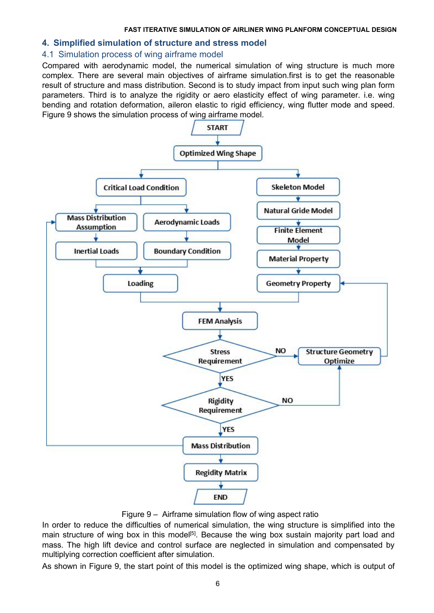### **4. Simplified simulation of structure and stress model**

## 4.1 Simulation process of wing airframe model

Compared with aerodynamic model, the numerical simulation of wing structure is much more complex. There are several main objectives of airframe simulation.first is to get the reasonable result of structure and mass distribution. Second is to study impact from input such wing plan form parameters. Third is to analyze the rigidity or aero elasticity effect of wing parameter. i.e. wing bending and rotation deformation, aileron elastic to rigid efficiency, wing flutter mode and speed. Figure 9 shows the simulation process of wing airframe model.



Figure 9 – Airframe simulation flow of wing aspect ratio

In order to reduce the difficulties of numerical simulation, the wing structure is simplified into the main structure of wing box in this model<sup>[5]</sup>. Because the wing box sustain majority part load and mass. The high lift device and control surface are neglected in simulation and compensated by multiplying correction coefficient after simulation.

As shown in Figure 9, the start point of this model is the optimized wing shape, which is output of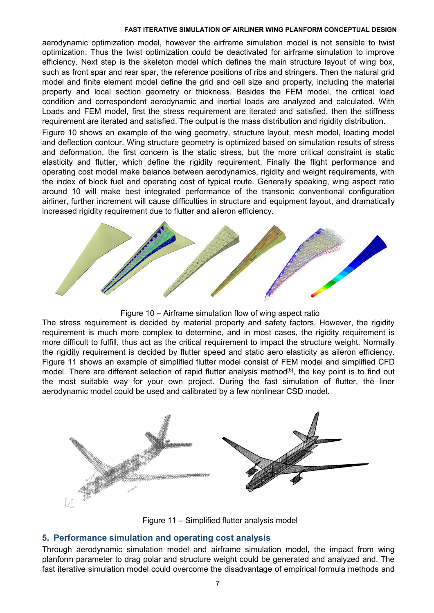aerodynamic optimization model, however the airframe simulation model is not sensible to twist optimization. Thus the twist optimization could be deactivated for airframe simulation to improve efficiency. Next step is the skeleton model which defines the main structure layout of wing box, such as front spar and rear spar, the reference positions of ribs and stringers. Then the natural grid model and finite element model define the grid and cell size and property, including the material property and local section geometry or thickness. Besides the FEM model, the critical load condition and correspondent aerodynamic and inertial loads are analyzed and calculated. With Loads and FEM model, first the stress requirement are iterated and satisfied, then the stiffness requirement are iterated and satisfied. The output is the mass distribution and rigidity distribution.

Figure 10 shows an example of the wing geometry, structure layout, mesh model, loading model and deflection contour. Wing structure geometry is optimized based on simulation results of stress and deformation, the first concern is the static stress, but the more critical constraint is static elasticity and flutter, which define the rigidity requirement. Finally the flight performance and operating cost model make balance between aerodynamics, rigidity and weight requirements, with the index of block fuel and operating cost of typical route. Generally speaking, wing aspect ratio around 10 will make best integrated performance of the transonic conventional configuration airliner, further increment will cause difficulties in structure and equipment layout, and dramatically increased rigidity requirement due to flutter and aileron efficiency.



Figure 10 – Airframe simulation flow of wing aspect ratio

The stress requirement is decided by material property and safety factors. However, the rigidity requirement is much more complex to determine, and in most cases, the rigidity requirement is more difficult to fulfill, thus act as the critical requirement to impact the structure weight. Normally the rigidity requirement is decided by flutter speed and static aero elasticity as aileron efficiency. Figure 11 shows an example of simplified flutter model consist of FEM model and simplified CFD model. There are different selection of rapid flutter analysis method<sup>[6]</sup>, the key point is to find out the most suitable way for your own project. During the fast simulation of flutter, the liner aerodynamic model could be used and calibrated by a few nonlinear CSD model.



Figure 11 – Simplified flutter analysis model

# **5. Performance simulation and operating cost analysis**

Through aerodynamic simulation model and airframe simulation model, the impact from wing planform parameter to drag polar and structure weight could be generated and analyzed and. The fast iterative simulation model could overcome the disadvantage of empirical formula methods and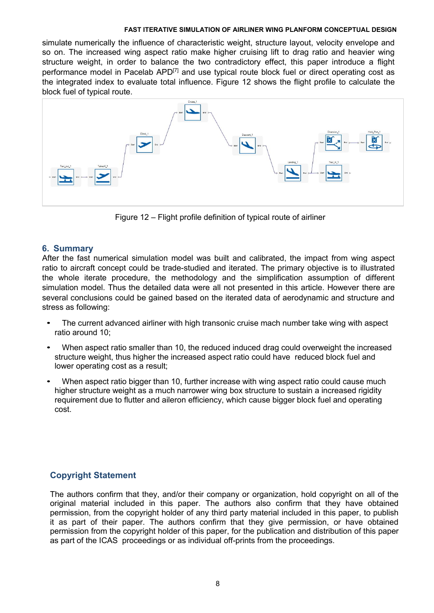simulate numerically the influence of characteristic weight, structure layout, velocity envelope and so on. The increased wing aspect ratio make higher cruising lift to drag ratio and heavier wing structure weight, in order to balance the two contradictory effect, this paper introduce a flight performance model in Pacelab APD<sup>[7]</sup> and use typical route block fuel or direct operating cost as the integrated index to evaluate total influence. Figure 12 shows the flight profile to calculate the block fuel of typical route.



Figure 12 – Flight profile definition of typical route of airliner

# **6. Summary**

After the fast numerical simulation model was built and calibrated, the impact from wing aspect ratio to aircraft concept could be trade-studied and iterated. The primary objective is to illustrated the whole iterate procedure, the methodology and the simplification assumption of different simulation model. Thus the detailed data were all not presented in this article. However there are several conclusions could be gained based on the iterated data of aerodynamic and structure and stress as following:

- The current advanced airliner with high transonic cruise mach number take wing with aspect ratio around 10;
- *•* When aspect ratio smaller than 10, the reduced induced drag could overweight the increased structure weight, thus higher the increased aspect ratio could have reduced block fuel and lower operating cost as a result;
- *•* When aspect ratio bigger than 10, further increase with wing aspect ratio could cause much higher structure weight as a much narrower wing box structure to sustain a increased rigidity requirement due to flutter and aileron efficiency, which cause bigger block fuel and operating cost.

# **Copyright Statement**

The authors confirm that they, and/or their company or organization, hold copyright on all of the original material included in this paper. The authors also confirm that they have obtained permission, from the copyright holder of any third party materialincluded in this paper, to publish it as part of their paper. The authors confirm that they give permission, or have obtained permission from the copyright holder of this paper, for the publication and distribution of this paper as part of the ICAS proceedings or as individual off-prints from the proceedings.